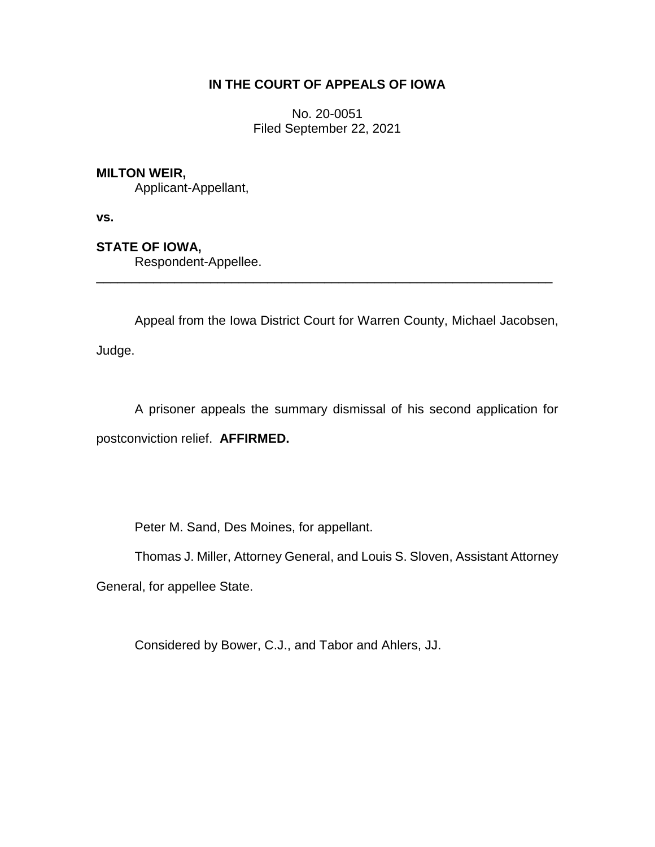## **IN THE COURT OF APPEALS OF IOWA**

No. 20-0051 Filed September 22, 2021

## **MILTON WEIR,**

Applicant-Appellant,

**vs.**

## **STATE OF IOWA,**

Respondent-Appellee.

Appeal from the Iowa District Court for Warren County, Michael Jacobsen,

\_\_\_\_\_\_\_\_\_\_\_\_\_\_\_\_\_\_\_\_\_\_\_\_\_\_\_\_\_\_\_\_\_\_\_\_\_\_\_\_\_\_\_\_\_\_\_\_\_\_\_\_\_\_\_\_\_\_\_\_\_\_\_\_

Judge.

A prisoner appeals the summary dismissal of his second application for postconviction relief. **AFFIRMED.**

Peter M. Sand, Des Moines, for appellant.

Thomas J. Miller, Attorney General, and Louis S. Sloven, Assistant Attorney

General, for appellee State.

Considered by Bower, C.J., and Tabor and Ahlers, JJ.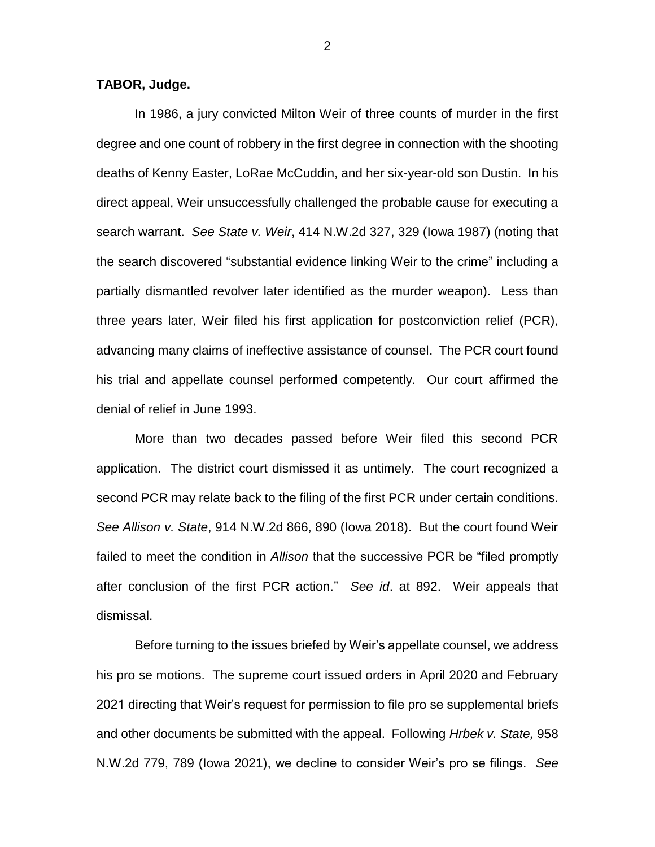**TABOR, Judge.**

In 1986, a jury convicted Milton Weir of three counts of murder in the first degree and one count of robbery in the first degree in connection with the shooting deaths of Kenny Easter, LoRae McCuddin, and her six-year-old son Dustin. In his direct appeal, Weir unsuccessfully challenged the probable cause for executing a search warrant. *See State v. Weir*, 414 N.W.2d 327, 329 (Iowa 1987) (noting that the search discovered "substantial evidence linking Weir to the crime" including a partially dismantled revolver later identified as the murder weapon). Less than three years later, Weir filed his first application for postconviction relief (PCR), advancing many claims of ineffective assistance of counsel. The PCR court found his trial and appellate counsel performed competently. Our court affirmed the denial of relief in June 1993.

More than two decades passed before Weir filed this second PCR application. The district court dismissed it as untimely. The court recognized a second PCR may relate back to the filing of the first PCR under certain conditions. *See Allison v. State*, 914 N.W.2d 866, 890 (Iowa 2018). But the court found Weir failed to meet the condition in *Allison* that the successive PCR be "filed promptly after conclusion of the first PCR action." *See id*. at 892. Weir appeals that dismissal.

Before turning to the issues briefed by Weir's appellate counsel, we address his pro se motions. The supreme court issued orders in April 2020 and February 2021 directing that Weir's request for permission to file pro se supplemental briefs and other documents be submitted with the appeal. Following *Hrbek v. State,* 958 N.W.2d 779, 789 (Iowa 2021), we decline to consider Weir's pro se filings. *See* 

2